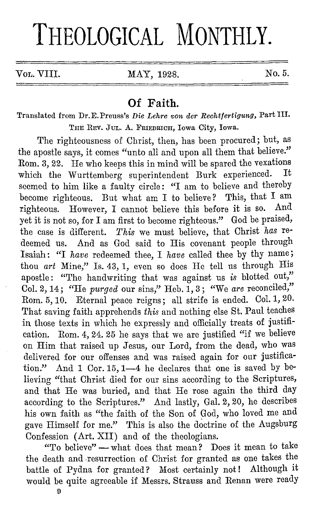## **THEOLOGICAL MONTHLY.**

Vol. VIII. MAY, 1928. No. 5.

## **Of Faith.**

Translated from Dr.E.Preuss's *Die I,ehre von dcr Rcchtfertigung,* Part III. TnE REV. JUL. A. FRIEDRICH, Iowa City, Iowa.

The righteousness of Christ, then, has been procured; but, as the apostle says, it comes "unto all and upon all them that believe." Rom. 3, 22. He who keeps this in mind will be spared the vexations<br>which the Wurttemberg superintendent Burk experienced. It which the Wurttemberg superintendent Burk experienced. seemed to him like a faulty circle: "I am to believe and thereby become righteous. But what am I to believe? This, that I am righteous. However, I cannot believe this before it is so. And yet it is not so, for I am first to become righteous." God be praised, the case is different. *This* we must believe, that Christ *has* redeemed us. And as God said to His covenant people through Isaiah: "I *have* redeemed thee, I *have* called thee by thy name; thou *art* Mine," Is. 43, 1, even so does He tell us through His apostle: "The handwriting that was against us *is* blotted out," Col. 2, 14; "He *purged* our sins," Heb. 1, 3; "We are reconciled," Rom. 5, 10. Eternal peace reigns; all strife is ended. Col. 1, 20. That saving faith apprehends *this* and nothing else St. Paul teaches in. those texts in which he expressly and officially treats of justification. Rom. 4, 24. 25 he says that we are justified "if we believe on Him that raised up Jesus, our Lord, from the dead, who was delivered for our offenses and was raised again for our justification." And 1 Cor. 15, 1-4 he declares that one is saved by believing "that Christ died for our sins according to the Scriptures, and that He was buried, and that He rose again the third day according to the Scriptures." And lastly, Gal. 2, 20, he describes his own faith as "the faith of the Son of God, who loved me and gave Himself for me." This is also the doctrine of the Augsburg Confession (Art. XII) and of the theologians.

"To believe" - what does that mean? Does it mean to take the death and -resurrection of Christ for granted as one takes the battle of Pydna for granted? Most certainly not! Although it would be quite agreeable if Messrs. Strauss and Renan were ready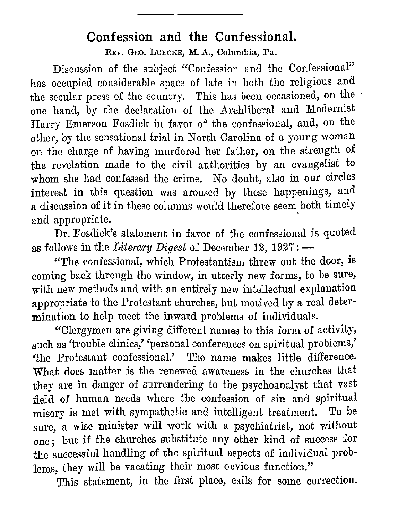## **Confession and the Confessional.**

REV. GEO, LUECKE, M. A., Columbia, Pa.

Discussion of the subject "Confession and the Confessional" has occupied considerable space of late in both the religious and the secular press of the country. This has been occasioned, on the one hand, by the declaration of the Archliberal and Modernist Harry Emerson Fosdick in favor of the confessional, and, on the other, by the sensational trial in North Carolina of a young woman on the charge of having murdered her father, on the strength of the revelation made to the civil authorities by an evangelist to whom she had confessed the crime. No doubt, also in our circles interest in this question was aroused by these happenings, and a discussion of it in these columns would therefore seem both timely and appropriate.

Dr. Fosdick's statement in favor of the confessional is quoted as follows in the *Literary Digest* of December 12, 1927: -

"The confessional, which Protestantism threw out the door, is coming back through the window, in utterly new forms, to be sure, with new methods and with an entirely new intellectual explanation appropriate to the Protestant churches, but motived by a real determination to help meet the inward problems of individuals.

"Clergymen are giving different names to this form of activity, such as 'trouble clinics,' 'personal conferences on spiritual problems,' 'the Protestant confessional.' 'fhe name makes little difference. What does matter is the renewed awareness in the churches that they are in danger of surrendering to the psychoanalyst that vast field of human needs where the confession of sin and spiritual misery is met with sympathetic and intelligent treatment. 'fo be sure, a wise minister will work with a psychiatrist, not without one; but if the churches substitute any other kind of success for the successful handling of the spiritual aspects of individual problems, they will be vacating their most obvious function."

This statement, in the first place, calls for some correction.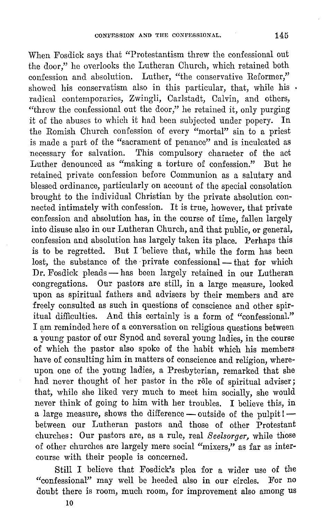When Fosdick says that "Protestantism threw the confessional out the door," he overlooks the Lutheran Church, which retained both confession and absolution. Luther, "the conservative Reformer," showed his conservatism also in this particular, that, while his  $\cdot$ radical contemporaries, Zwingli, Carlstadt, Calvin, and others, "threw the confessional out the door," he retained it, only purging it of the abuses to which it had been subjected under popery. In the Romish Church confession of every "mortal" sin to a priest is made a part of the "sacrament of penance" and is inculcated as necessary for salvation. This compulsory character of the act Luther denounced as "making a torture of confession." But he retained private confession before Communion as a salutary and blessed ordinance, particularly on account of the special consolation brought to the individual Christian by the private absolution connected intimately with confession. It is true, however, that private confession and absolution has, in the course of time, fallen largely into disuse also in our Lutheran Church, and that public, or general, confession and absolution has largely taken its place. Perhaps this is to be regretted. But I 'believe that, while the form has been lost, the substance of the private confessional - that for which Dr. Fosdick pleads - has been largely retained in our Lutheran congregations. Our pastors are still, in a large measure, looked upon as spiritual fathers and advisers by their members and are freely consulted as such in questions of conscience and other spiritual difficulties. And this certainly is a form of "confessional." I am reminded here of a conversation on religious questions between a young pastor of our Synod and several young ladies, in the course of which the pastor also spoke of the habit which his members have of consulting him in matters of conscience and religion, whereupon one of the young ladies, a Presbyterian, remarked that she had never thought of her pastor in the rôle of spiritual adviser; that, while she liked very much to meet him socially, she would never think of going to him with her troubles. I believe this, in a large measure, shows the difference - outside of the pulpit! $$ between our Lutheran pastors and those of other Protestant churches: Our pastors are, as a rule, real *Seelsorger,* while those of other churches are largely mere social "mixers," as far as intercourse with their people is concerned.

Still I believe that Fosdick's plea for a wider use of the "confessional" may well be heeded also in our circles. For no doubt there is room, much room, for improvement also among us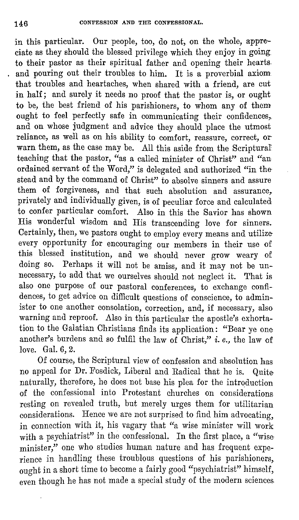in this particular. Our people, too, do not, on the whole, appreciate as they should the blessed privilege which they enjoy in going. to their pastor as their spiritual father and opening their hearts and pouring out their troubles to him. It is a proverbial axiom that troubles and heartaches, when shared with a friend, are cut in half; and surely it needs no proof that the pastor is, or ought to be, the best friend of his parishioners, to whom any of them ought to feel perfectly safe in communicating their confidences, and on whose judgment and advice they should place the utmost reliance, as well as on his ability to comfort, reassure, correct, orwarn them, as the case may be. All this aside from the Scriptural teaching that the pastor, "as a called minister of Christ" and "an ordained servant of the Word," is delegated and authorized "in the· stead and by the command of Christ" to absolve sinners and assure them of forgiveness, and that such absolution and assurance, privately and individually given, is of peculiar force and calculated to confer particular comfort. Also in this the Savior has shown His wonderful wisdom and His transcending love for sinners. Certainly, then, we pastors ought to employ every means and utilizeevery opportunity for encouraging our members in their use of this blessed institution, and we should never grow weary of doing so. Perhaps it will not be amiss, and it may not be unnecessary, to add that we ourselves should not neglect it. That is also one purpose of our pastoral conferences, to exchange confidences, to get advice on difficult questions of conscience, to administer to one another consolation, correction, and, if necessary, also warning and reproof. Also in this particular the apostle's exhortation to the Galatian Christians finds its application: "Bear ye one another's burdens and so fulfil the law of Christ," i. *e.,* the law of love. Gal. 6, 2.

Of course, the Scriptural view of confession and absolution has no appeal for Dr. Fosdick, Liberal and Radical that he is. Quitenaturally, therefore, he does not base his plea for the introduction of the confessional into Protestant churches on considerations resting on revealed truth, but merely urges them for utilitarian considerations. Hence we are not surprised to find him advocating, in connection with it, his vagary that "a wise minister will work with a psychiatrist" in the confessional. In the first place, a "wise minister," one who studies human nature and has frequent experience in handling these troublous questions of his parishioners, ought in a short time to become a fairly good "psychiatrist" himself, even though he has not made a special study of the modern sciences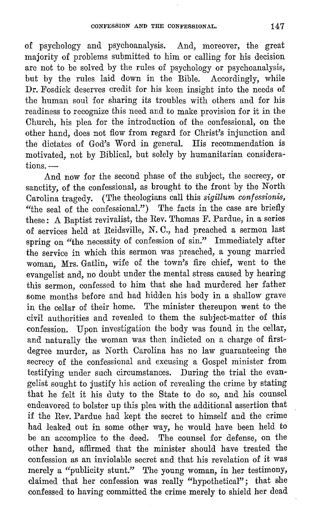of psychology and psychoanalysis. And, moreover, the great majority of problems submitted to him or calling for his decision arc not to be solved by the rules of psychology or psychoanalysis, but by the rules laid down in the Bible. Accordingly, while Dr. Fosdick deserves credit for his keen insight into the needs of the human soul for sharing its troubles with others and for his readiness to recognize this need and to make provision for it in the Church, his plea for the introduction of the confessional, on the other hand, does not flow from regard for Christ's injunction and the dictates of God's Word in general. His recommendation is motivated, not by Biblical, but solely by humanitarian considera $tions.$   $-$ 

And now for the second phase of the subject, the secrecy, or sanctity, of the confessional, as brought to the front by the North Carolina tragedy. (The theologians call this *sigillum confessionis,*  "the seal of the confessional.") The facts in the case are briefly these: A Baptist revivalist, the Rev. Thomas F. Pardue, in a series of services held at Reidsville, N. 0., had preached a sermon last spring on "the necessity of confession of sin." Immediately after the service in which this sermon was preached, a young married woman, Mrs. Gatlin, wife of the town's fire chief, went to the evangelist and, no doubt under the mental stress caused by hearing this sermon, confessed to him that she had murdered her father some months before and had hidden his body in a shallow grave in the cellar of their home. The minister thereupon went to the civil authorities and revealed to them the subject-matter of this confession. Upon investigation the body was found in the cellar, and naturally the woman was then indicted on a charge of firstdegree murder, as North Carolina has no law guaranteeing the secrecy of the confessional and excusing a Gospel minister from testifying under such circumstances. During the trial the evangelist sought to justify his action of revealing the crime by stating that he felt it his duty to the State to do so, and his counsel endeavored to bolster up this plea with the additional assertion that if the Rev. Pardue had kept the secret to himself and the crime had leaked out in some other way, he would have been held to be an accomplice to the deed. The counsel for defense, on the other hand, affirmed that the minister should have treated the confession as an inviolable secret and that his revelation of it was merely a "publicity stunt." The young woman, in her testimony, claimed that her confession was really "hypothetical"; that she confessed to having committed the crime merely to shield her dead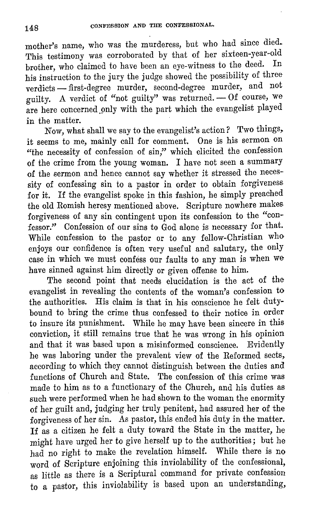mother's name, who was the murderess, but who had since died. This testimony was corroborated by that of her sixteen-year-old brother, who claimed to have been an eye-witness to the deed. his instruction to the jury the judge showed the possibility of three  $\rm{verdicts} \longrightarrow \rm{first-degree} \mod{m}$  are murder, second-degree murder, and not guilty. A verdict of "not guilty" was returned.  $-$  Of course, we are here concerned only with the part which the evangelist played in the matter.

Now, what shall we say to the evangelist's action? Two things, it seems to me, mainly call for comment. One is his sermon on "the necessity of confession of sin," which elicited the confession of the crime from the young woman. I have not seen a summary of the sermon and hence cannot say whether it stressed the necessity of confessing sin to a pastor in order to obtain forgiveness for it. If the evangelist spoke in this fashion, he simply preached the old Romish heresy mentioned above. Scripture nowhere makes. forgiveness of any sin contingent upon its confession to the "confessor." Confession of our sins to God alone is necessary for that. While confession to the pastor or to any fellow-Christian who enjoys our confidence is often very useful and salutary, the only case in which we must confess our faults to any man is when we have sinned against him directly or given offense to him.

The second point that needs elucidation is the act of the evangelist in revealing the contents of the woman's confession to the authorities. His claim is that in his conscience he felt dutybound to bring the crime thus confessed to their notice in order to insure its punishment. While he may have been sincere in this conviction, it still remains true that he was wrong in his opinion and that it was based upon a misinformed conscience. Evidently he was laboring under the prevalent view of the Reformed sects, according to which they cannot distinguish between the duties and functions of Church and State. The confession of this crime was made to him as to a functionary of the Church, and his duties as such were performed when he had shown to the woman the enormity of her guilt and, judging her truly penitent, had assured her of the forgiveness of her sin. As pastor, this ended his duty in the matter. If as a citizen he felt a duty toward the State in the matter, he might have urged her to give herself up to the authorities; but he had no right to make the revelation himself. While there is no word of Scripture enjoining this inviolability of the confessional, as little as there is a Scriptural command for private confession to a pastor, this inviolability is based upon an understanding,